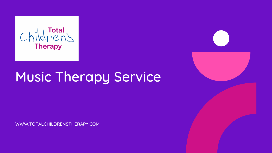

# Music Therapy Service

WWW.TOTALCHILDRENSTHERAPY.COM

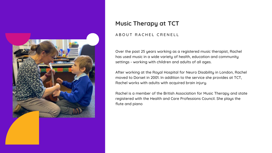Over the past 25 years working as a registered music therapist, Rachel has used music in a wide variety of health, education and community settings - working with children and adults of all ages.

After working at the Royal Hospital for Neuro Disability in London, Rachel moved to Dorset in 2001. In addition to the service she provides at TCT, Rachel works with adults with acquired brain injury.

Rachel is a member of the British Association for Music Therapy and state registered with the Health and Care Professions Council. She plays the flute and piano



## **Music Therapy at TCT**

A B O U T R A C H E L C R E N E L L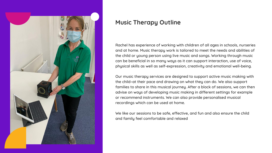

### **Music Therapy Outline**

Rachel has experience of working with children of all ages in schools, nurseries and at home. Music therapy work is tailored to meet the needs and abilities of the child or young person using live music and songs. Working through music can be beneficial in so many ways as it can support interaction, use of voice, physical skills as well as self-expression, creativity and emotional well-being.

Our music therapy services are designed to support active music making with the child–at their pace and drawing on what they can do. We also support families to share in this musical journey. After a block of sessions, we can then advise on ways of developing music making in different settings for example or recommend instruments. We can also provide personalised musical recordings which can be used at home.

We like our sessions to be safe, effective, and fun and also ensure the child and family feel comfortable and relaxed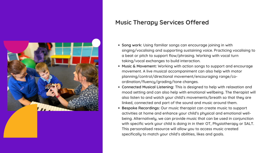

#### **Music Therapy Services Offered**

- **Song work:** Using familiar songs can encourage joining in with singing/vocalising and supporting sustaining voice. Practicing vocalising to a beat or pitch to support flow/phrasing. Working with vocal turn taking/vocal exchanges to build interaction.
- **Music & Movement:** Working with action songs to support and encourage movement. A live musical accompaniment can also help with motor planning/control/directional movement/encouraging range/coordination/fluency/grading/tone changes.
- **Connected Musical Listening:** This is designed to help with relaxation and mood setting and can also help with emotional wellbeing. The therapist will also listen to and watch your child's movements/breath so that they are linked, connected and part of the sound and music around them.
- **Bespoke Recordings:** Our music therapist can create music to support activities at home and enhance your child's physical and emotional wellbeing. Alternatively, we can provide music that can be used in conjunction with specific work your child is doing in in their OT, Physiotherapy or SALT. This personalised resource will allow you to access music created specifically to match your child's abilities, likes and goals.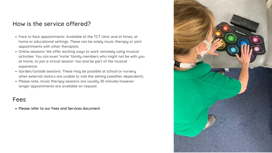- Face to face appointments: Available at the TCT clinic and at times, at home or educational settings. These can be solely music therapy or joint appointments with other therapists.
- Online sessions: We offer exciting ways to work remotely using musical activities. You can even 'invite' family members who might not be with you at home, to join a virtual session too and be part of the musical experience.
- Garden/outside sessions: These may be possible at school or nursery when external visitors are unable to visit the setting (weather dependent).
- Please note, music therapy sessions are usually 30 minutes however longer appointments are available on request.

#### How is the service offered?

#### Fees

Please refer to our Fees and Services document.